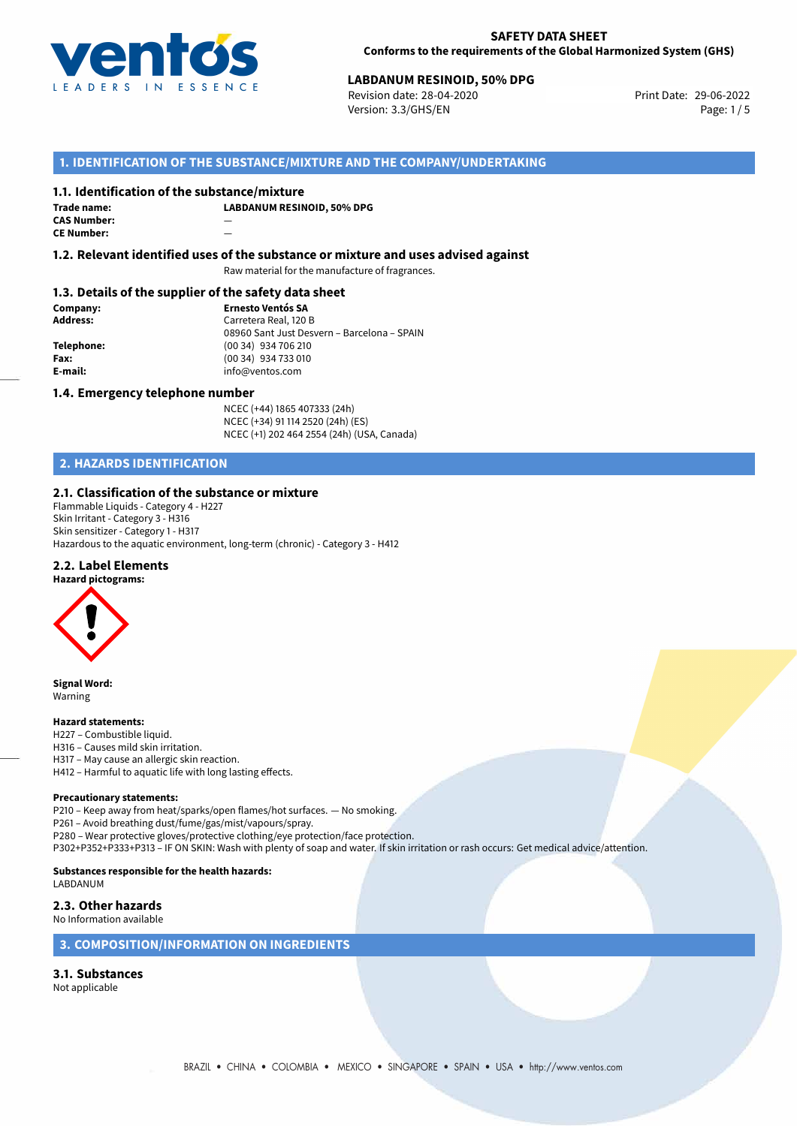

## **LABDANUM RESINOID, 50% DPG**<br>
Revision date: 28-04-2020<br>
Print Date: 29-06-2022

Revision date: 28-04-2020 Version: 3.3/GHS/EN Page: 1/5

## **1. IDENTIFICATION OF THE SUBSTANCE/MIXTURE AND THE COMPANY/UNDERTAKING**

#### **1.1. Identification of the substance/mixture**

| Trade name:        | U |
|--------------------|---|
| <b>CAS Number:</b> |   |
| <b>CE Number:</b>  |   |

**LABDANUM RESINOID, 50% DPG**

#### **1.2. Relevant identified uses of the substance or mixture and uses advised against**

Raw material for the manufacture of fragrances.

### **1.3. Details of the supplier of the safety data sheet**

**Company: Ernesto Ventós SA Address:** Carretera Real, 120 B 08960 Sant Just Desvern – Barcelona – SPAIN **Telephone:** (00 34) 934 706 210 **Fax:** (00 34) 934 733 010<br> **E-mail: E-mail:** info@ventos.com **E-mail:** info@ventos.com

#### **1.4. Emergency telephone number**

NCEC (+44) 1865 407333 (24h) NCEC (+34) 91 114 2520 (24h) (ES) NCEC (+1) 202 464 2554 (24h) (USA, Canada)

## **2. HAZARDS IDENTIFICATION**

## **2.1. Classification of the substance or mixture**

Flammable Liquids - Category 4 - H227 Skin Irritant - Category 3 - H316 Skin sensitizer - Category 1 - H317 Hazardous to the aquatic environment, long-term (chronic) - Category 3 - H412

## **2.2. Label Elements**



**Signal Word:** Warning

#### **Hazard statements:**

H227 – Combustible liquid.

- H316 Causes mild skin irritation.
- H317 May cause an allergic skin reaction.
- H412 Harmful to aquatic life with long lasting effects.

#### **Precautionary statements:**

P210 – Keep away from heat/sparks/open flames/hot surfaces. — No smoking.

- P261 Avoid breathing dust/fume/gas/mist/vapours/spray.
- P280 Wear protective gloves/protective clothing/eye protection/face protection.

P302+P352+P333+P313 – IF ON SKIN: Wash with plenty of soap and water. If skin irritation or rash occurs: Get medical advice/attention.

#### **Substances responsible for the health hazards:**

LABDANUM

## **2.3. Other hazards**

No Information available

## **3. COMPOSITION/INFORMATION ON INGREDIENTS**

## **3.1. Substances**

Not applicable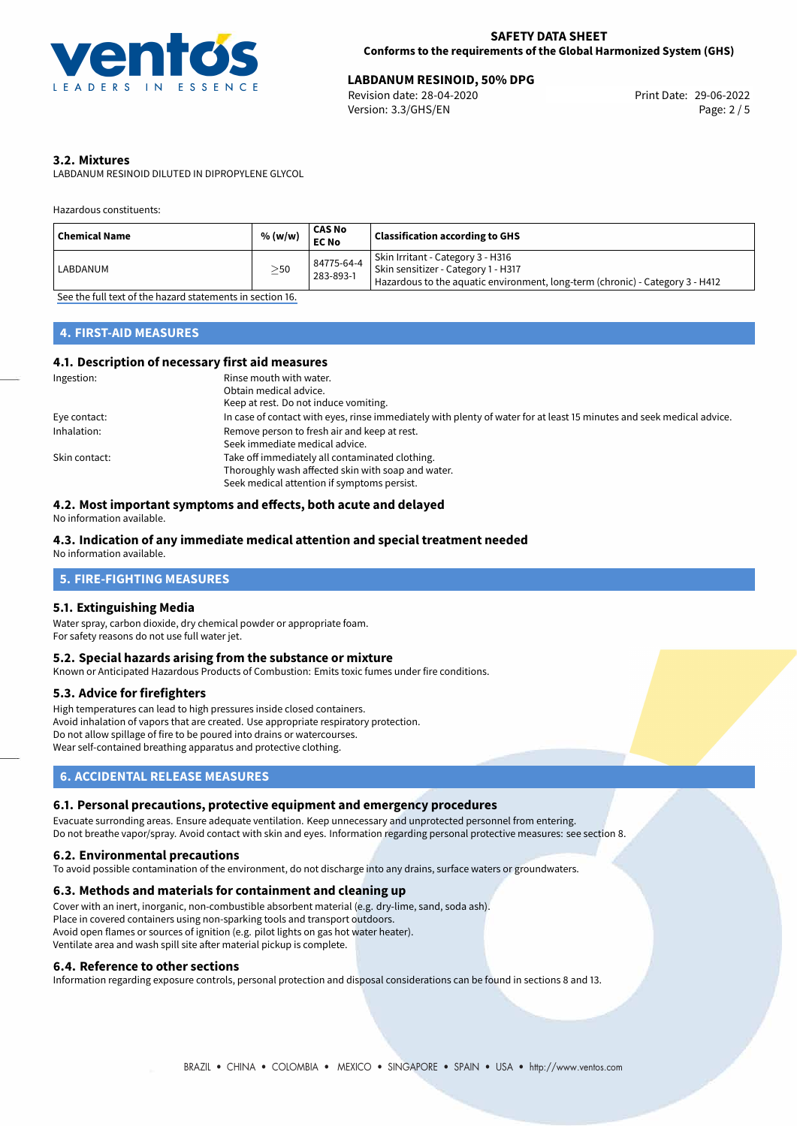

## **LABDANUM RESINOID, 50% DPG**<br>
Revision date: 28-04-2020<br>
Print Date: 29-06-2022

Revision date: 28-04-2020 Version: 3.3/GHS/EN Page: 2 / 5

## **3.2. Mixtures**

LABDANUM RESINOID DILUTED IN DIPROPYLENE GLYCOL

Hazardous constituents:

| Chemical Name | % (w/w)   | <b>CAS No</b><br><b>EC No</b> | <b>Classification according to GHS</b>                                                                                                                    |
|---------------|-----------|-------------------------------|-----------------------------------------------------------------------------------------------------------------------------------------------------------|
| LABDANUM      | $\geq$ 50 | 84775-64-4<br>283-893-1       | Skin Irritant - Category 3 - H316<br>Skin sensitizer - Category 1 - H317<br>Hazardous to the aquatic environment, long-term (chronic) - Category 3 - H412 |

[See the full text of the hazard statements in section 16.](#page-4-0)

## **4. FIRST-AID MEASURES**

## **4.1. Description of necessary first aid measures**

| Ingestion:    | Rinse mouth with water.                                                                                               |
|---------------|-----------------------------------------------------------------------------------------------------------------------|
|               | Obtain medical advice.                                                                                                |
|               | Keep at rest. Do not induce vomiting.                                                                                 |
| Eye contact:  | In case of contact with eyes, rinse immediately with plenty of water for at least 15 minutes and seek medical advice. |
| Inhalation:   | Remove person to fresh air and keep at rest.                                                                          |
|               | Seek immediate medical advice.                                                                                        |
| Skin contact: | Take off immediately all contaminated clothing.                                                                       |
|               | Thoroughly wash affected skin with soap and water.                                                                    |
|               | Seek medical attention if symptoms persist.                                                                           |

#### **4.2. Most important symptoms and effects, both acute and delayed**

No information available.

## **4.3. Indication of any immediate medical attention and special treatment needed**

No information available.

## **5. FIRE-FIGHTING MEASURES**

## **5.1. Extinguishing Media**

Water spray, carbon dioxide, dry chemical powder or appropriate foam. For safety reasons do not use full water jet.

#### **5.2. Special hazards arising from the substance or mixture**

Known or Anticipated Hazardous Products of Combustion: Emits toxic fumes under fire conditions.

## **5.3. Advice for firefighters**

High temperatures can lead to high pressures inside closed containers. Avoid inhalation of vapors that are created. Use appropriate respiratory protection. Do not allow spillage of fire to be poured into drains or watercourses. Wear self-contained breathing apparatus and protective clothing.

## **6. ACCIDENTAL RELEASE MEASURES**

## **6.1. Personal precautions, protective equipment and emergency procedures**

Evacuate surronding areas. Ensure adequate ventilation. Keep unnecessary and unprotected personnel from entering. Do not breathe vapor/spray. Avoid contact with skin and eyes. Information regarding personal protective measures: see section 8.

## **6.2. Environmental precautions**

To avoid possible contamination of the environment, do not discharge into any drains, surface waters or groundwaters.

## **6.3. Methods and materials for containment and cleaning up**

Cover with an inert, inorganic, non-combustible absorbent material (e.g. dry-lime, sand, soda ash). Place in covered containers using non-sparking tools and transport outdoors. Avoid open flames or sources of ignition (e.g. pilot lights on gas hot water heater). Ventilate area and wash spill site after material pickup is complete.

#### **6.4. Reference to other sections**

Information regarding exposure controls, personal protection and disposal considerations can be found in sections 8 and 13.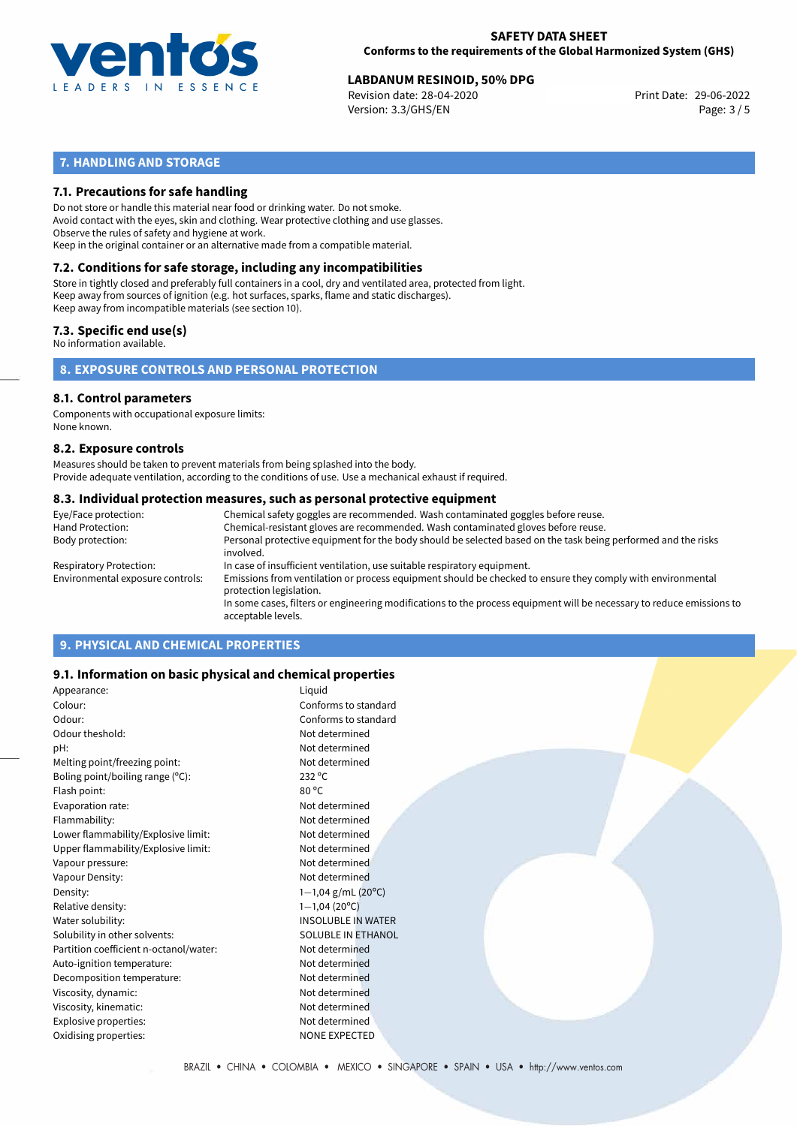

## **SAFETY DATA SHEET Conforms to the requirements of the Global Harmonized System (GHS)**

## **LABDANUM RESINOID, 50% DPG**<br>
Revision date: 28-04-2020<br>
Print Date: 29-06-2022

Revision date: 28-04-2020 Version: 3.3/GHS/EN Page: 3 / 5

## **7. HANDLING AND STORAGE**

## **7.1. Precautions for safe handling**

Do not store or handle this material near food or drinking water. Do not smoke. Avoid contact with the eyes, skin and clothing. Wear protective clothing and use glasses. Observe the rules of safety and hygiene at work. Keep in the original container or an alternative made from a compatible material.

## **7.2. Conditions for safe storage, including any incompatibilities**

Store in tightly closed and preferably full containers in a cool, dry and ventilated area, protected from light. Keep away from sources of ignition (e.g. hot surfaces, sparks, flame and static discharges). Keep away from incompatible materials (see section 10).

## **7.3. Specific end use(s)**

No information available.

**8. EXPOSURE CONTROLS AND PERSONAL PROTECTION**

## **8.1. Control parameters**

Components with occupational exposure limits: None known.

#### **8.2. Exposure controls**

Measures should be taken to prevent materials from being splashed into the body. Provide adequate ventilation, according to the conditions of use. Use a mechanical exhaust if required.

#### **8.3. Individual protection measures, such as personal protective equipment**

| Eye/Face protection:             | Chemical safety goggles are recommended. Wash contaminated goggles before reuse.                                                            |
|----------------------------------|---------------------------------------------------------------------------------------------------------------------------------------------|
| Hand Protection:                 | Chemical-resistant gloves are recommended. Wash contaminated gloves before reuse.                                                           |
| Body protection:                 | Personal protective equipment for the body should be selected based on the task being performed and the risks<br>involved.                  |
| Respiratory Protection:          | In case of insufficient ventilation, use suitable respiratory equipment.                                                                    |
| Environmental exposure controls: | Emissions from ventilation or process equipment should be checked to ensure they comply with environmental<br>protection legislation.       |
|                                  | In some cases, filters or engineering modifications to the process equipment will be necessary to reduce emissions to<br>acceptable levels. |
|                                  |                                                                                                                                             |

## **9. PHYSICAL AND CHEMICAL PROPERTIES**

## **9.1. Information on basic physical and chemical properties**

| Appearance:                            | Liquid                          |  |
|----------------------------------------|---------------------------------|--|
| Colour:                                | Conforms to standard            |  |
| Odour:                                 | Conforms to standard            |  |
| Odour theshold:                        | Not determined                  |  |
| pH:                                    | Not determined                  |  |
| Melting point/freezing point:          | Not determined                  |  |
| Boling point/boiling range (°C):       | 232 °C                          |  |
| Flash point:                           | $80^{\circ}$ C                  |  |
| Evaporation rate:                      | Not determined                  |  |
| Flammability:                          | Not determined                  |  |
| Lower flammability/Explosive limit:    | Not determined                  |  |
| Upper flammability/Explosive limit:    | Not determined                  |  |
| Vapour pressure:                       | Not determined                  |  |
| Vapour Density:                        | Not determined                  |  |
| Density:                               | $1-1,04$ g/mL (20 $^{\circ}$ C) |  |
| Relative density:                      | $1 - 1,04(20°C)$                |  |
| Water solubility:                      | <b>INSOLUBLE IN WATER</b>       |  |
| Solubility in other solvents:          | <b>SOLUBLE IN ETHANOL</b>       |  |
| Partition coefficient n-octanol/water: | Not determined                  |  |
| Auto-ignition temperature:             | Not determined                  |  |
| Decomposition temperature:             | Not determined                  |  |
| Viscosity, dynamic:                    | Not determined                  |  |
| Viscosity, kinematic:                  | Not determined                  |  |
| Explosive properties:                  | Not determined                  |  |
| Oxidising properties:                  | <b>NONE EXPECTED</b>            |  |
|                                        |                                 |  |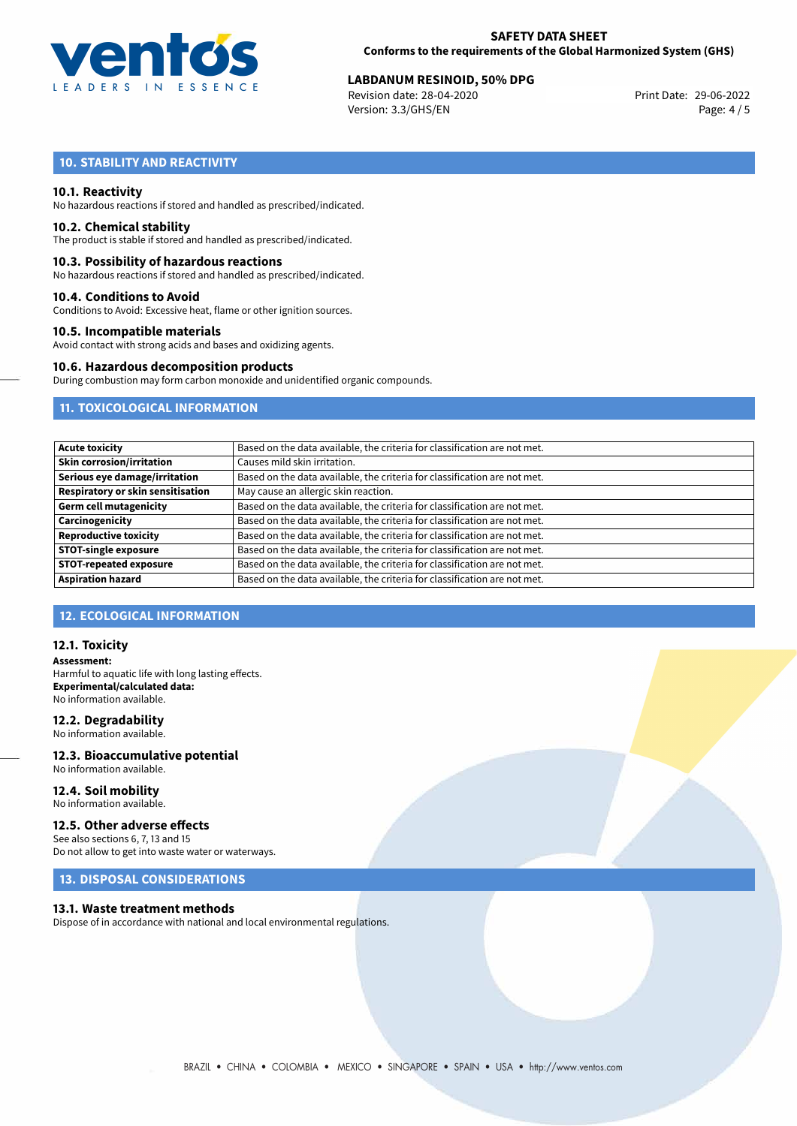

## **SAFETY DATA SHEET Conforms to the requirements of the Global Harmonized System (GHS)**

# **LABDANUM RESINOID, 50% DPG**<br>
Revision date: 28-04-2020<br>
Print Date: 29-06-2022

Revision date: 28-04-2020 Version: 3.3/GHS/EN Page: 4 / 5

## **10. STABILITY AND REACTIVITY**

### **10.1. Reactivity**

No hazardous reactions if stored and handled as prescribed/indicated.

#### **10.2. Chemical stability**

The product is stable if stored and handled as prescribed/indicated.

#### **10.3. Possibility of hazardous reactions**

No hazardous reactions if stored and handled as prescribed/indicated.

#### **10.4. Conditions to Avoid**

Conditions to Avoid: Excessive heat, flame or other ignition sources.

### **10.5. Incompatible materials**

Avoid contact with strong acids and bases and oxidizing agents.

#### **10.6. Hazardous decomposition products**

During combustion may form carbon monoxide and unidentified organic compounds.

## **11. TOXICOLOGICAL INFORMATION**

| <b>Acute toxicity</b>                    | Based on the data available, the criteria for classification are not met. |
|------------------------------------------|---------------------------------------------------------------------------|
| <b>Skin corrosion/irritation</b>         | Causes mild skin irritation.                                              |
| Serious eye damage/irritation            | Based on the data available, the criteria for classification are not met. |
| <b>Respiratory or skin sensitisation</b> | May cause an allergic skin reaction.                                      |
| <b>Germ cell mutagenicity</b>            | Based on the data available, the criteria for classification are not met. |
| Carcinogenicity                          | Based on the data available, the criteria for classification are not met. |
| <b>Reproductive toxicity</b>             | Based on the data available, the criteria for classification are not met. |
| <b>STOT-single exposure</b>              | Based on the data available, the criteria for classification are not met. |
| <b>STOT-repeated exposure</b>            | Based on the data available, the criteria for classification are not met. |
| <b>Aspiration hazard</b>                 | Based on the data available, the criteria for classification are not met. |

## **12. ECOLOGICAL INFORMATION**

### **12.1. Toxicity**

**Assessment:** Harmful to aquatic life with long lasting effects. **Experimental/calculated data:** No information available.

### **12.2. Degradability**

No information available.

#### **12.3. Bioaccumulative potential** No information available.

**12.4. Soil mobility** No information available.

## **12.5. Other adverse effects**

See also sections 6, 7, 13 and 15 Do not allow to get into waste water or waterways.

## **13. DISPOSAL CONSIDERATIONS**

#### **13.1. Waste treatment methods**

Dispose of in accordance with national and local environmental regulations.